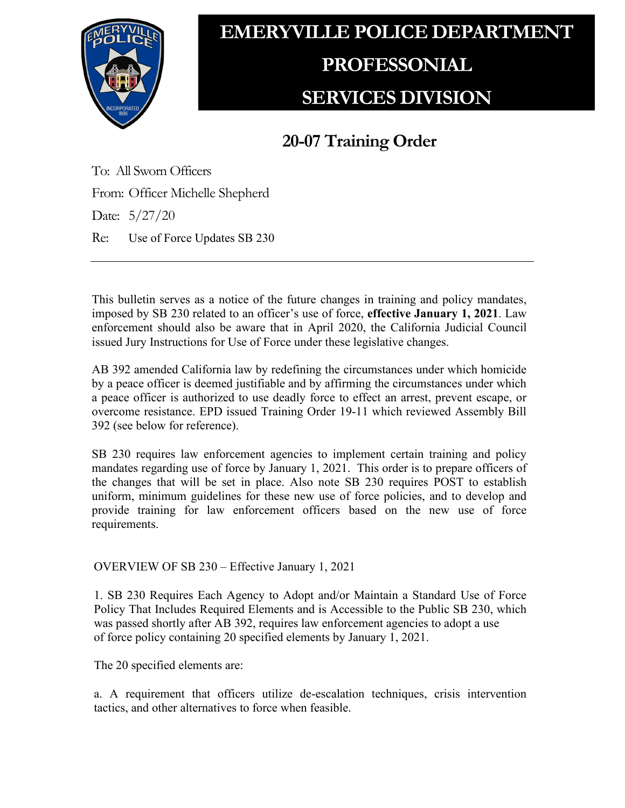

## **EMERYVILLE POLICE DEPARTMENT PROFESSONIAL SERVICES DIVISION**

## **20-07 Training Order**

To: All Sworn Officers From: Officer Michelle Shepherd Date: 5/27/20 Re: Use of Force Updates SB 230

This bulletin serves as a notice of the future changes in training and policy mandates, imposed by SB 230 related to an officer's use of force, **effective January 1, 2021**. Law enforcement should also be aware that in April 2020, the California Judicial Council issued Jury Instructions for Use of Force under these legislative changes.

AB 392 amended California law by redefining the circumstances under which homicide by a peace officer is deemed justifiable and by affirming the circumstances under which a peace officer is authorized to use deadly force to effect an arrest, prevent escape, or overcome resistance. EPD issued Training Order 19-11 which reviewed Assembly Bill 392 (see below for reference).

SB 230 requires law enforcement agencies to implement certain training and policy mandates regarding use of force by January 1, 2021. This order is to prepare officers of the changes that will be set in place. Also note SB 230 requires POST to establish uniform, minimum guidelines for these new use of force policies, and to develop and provide training for law enforcement officers based on the new use of force requirements.

OVERVIEW OF SB 230 – Effective January 1, 2021

1. SB 230 Requires Each Agency to Adopt and/or Maintain a Standard Use of Force Policy That Includes Required Elements and is Accessible to the Public SB 230, which was passed shortly after AB 392, requires law enforcement agencies to adopt a use of force policy containing 20 specified elements by January 1, 2021.

The 20 specified elements are:

a. A requirement that officers utilize de-escalation techniques, crisis intervention tactics, and other alternatives to force when feasible.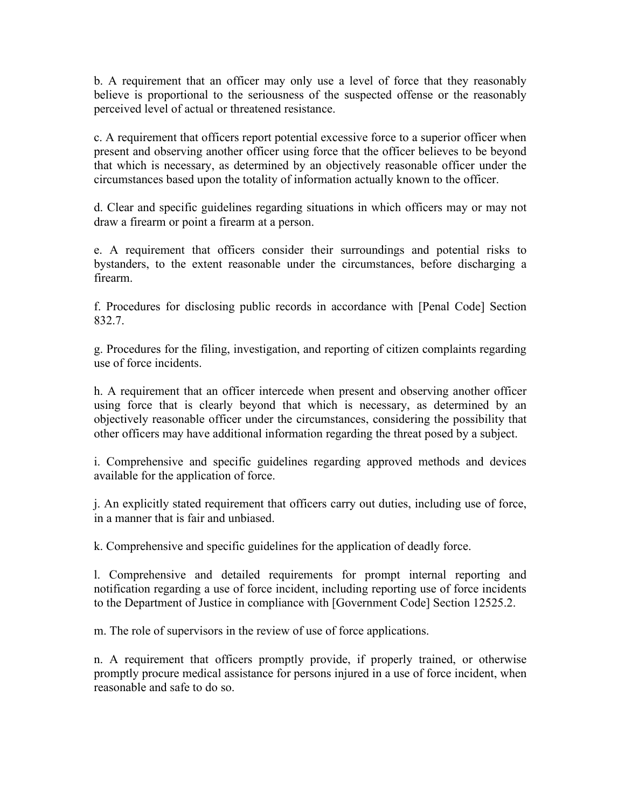b. A requirement that an officer may only use a level of force that they reasonably believe is proportional to the seriousness of the suspected offense or the reasonably perceived level of actual or threatened resistance.

c. A requirement that officers report potential excessive force to a superior officer when present and observing another officer using force that the officer believes to be beyond that which is necessary, as determined by an objectively reasonable officer under the circumstances based upon the totality of information actually known to the officer.

d. Clear and specific guidelines regarding situations in which officers may or may not draw a firearm or point a firearm at a person.

e. A requirement that officers consider their surroundings and potential risks to bystanders, to the extent reasonable under the circumstances, before discharging a firearm.

f. Procedures for disclosing public records in accordance with [Penal Code] Section 832.7.

g. Procedures for the filing, investigation, and reporting of citizen complaints regarding use of force incidents.

h. A requirement that an officer intercede when present and observing another officer using force that is clearly beyond that which is necessary, as determined by an objectively reasonable officer under the circumstances, considering the possibility that other officers may have additional information regarding the threat posed by a subject.

i. Comprehensive and specific guidelines regarding approved methods and devices available for the application of force.

j. An explicitly stated requirement that officers carry out duties, including use of force, in a manner that is fair and unbiased.

k. Comprehensive and specific guidelines for the application of deadly force.

l. Comprehensive and detailed requirements for prompt internal reporting and notification regarding a use of force incident, including reporting use of force incidents to the Department of Justice in compliance with [Government Code] Section 12525.2.

m. The role of supervisors in the review of use of force applications.

n. A requirement that officers promptly provide, if properly trained, or otherwise promptly procure medical assistance for persons injured in a use of force incident, when reasonable and safe to do so.